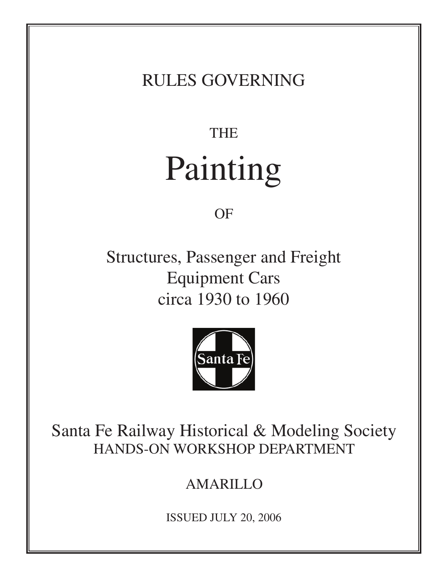#### RULES GOVERNING

# THE Painting

OF

Structures, Passenger and Freight Equipment Cars circa 1930 to 1960



Santa Fe Railway Historical & Modeling Society HANDS-ON WORKSHOP DEPARTMENT

#### AMARILLO

ISSUED JULY 20, 2006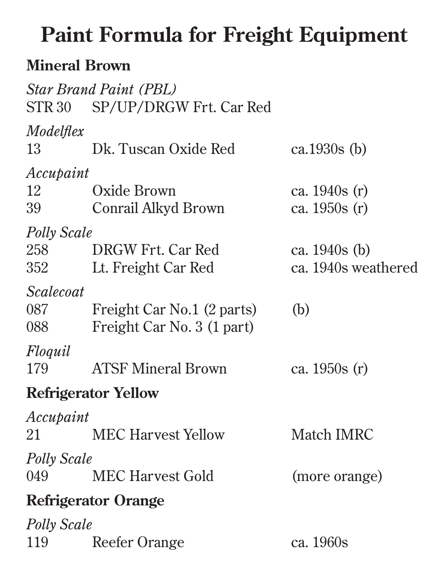# **Paint Formula for Freight Equipment**

#### **Mineral Brown**

|                    | <b>Star Brand Paint (PBL)</b><br>STR 30 SP/UP/DRGW Frt. Car Red |                     |
|--------------------|-----------------------------------------------------------------|---------------------|
| Modelflex<br>13    | Dk. Tuscan Oxide Red                                            | ca.1930s $(b)$      |
| Accupaint          |                                                                 |                     |
| 12                 | Oxide Brown                                                     | ca. $1940s(r)$      |
| 39                 | Conrail Alkyd Brown                                             | ca. $1950s(r)$      |
| <b>Polly Scale</b> |                                                                 |                     |
| 258                | DRGW Frt. Car Red                                               | ca. 1940s (b)       |
|                    | 352 Lt. Freight Car Red                                         | ca. 1940s weathered |
| <i>Scalecoat</i>   |                                                                 |                     |
| 087 — 108          | Freight Car No.1 (2 parts)                                      | (b)                 |
| 088 — 108          | Freight Car No. 3 (1 part)                                      |                     |
| Floquil            |                                                                 |                     |
| 179                | <b>ATSF Mineral Brown</b>                                       | ca. 1950s (r)       |
|                    | <b>Refrigerator Yellow</b>                                      |                     |
| Accupaint          |                                                                 |                     |
| 21 —               | <b>MEC Harvest Yellow</b>                                       | Match <b>IMRC</b>   |
| <b>Polly Scale</b> |                                                                 |                     |
|                    | 049 MEC Harvest Gold                                            | (more orange)       |
|                    | <b>Refrigerator Orange</b>                                      |                     |
| <b>Polly Scale</b> |                                                                 |                     |
| 119                | Reefer Orange                                                   | ca. 1960s           |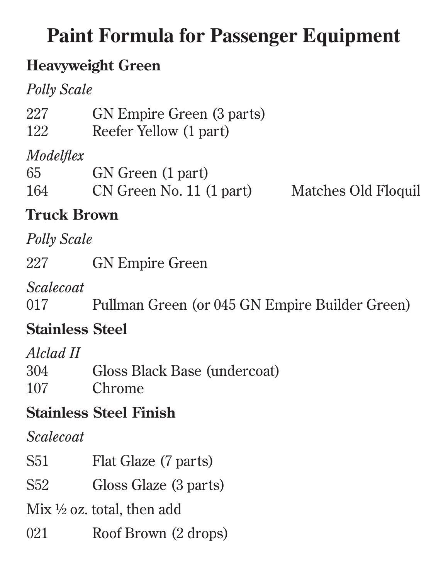## **Paint Formula for Passenger Equipment**

#### **Heavyweight Green**

*Polly Scale*

| 227<br>GN Empire Green (3 parts) |  |
|----------------------------------|--|
|----------------------------------|--|

122 Reefer Yellow (1 part)

#### *Modelflex*

| 65  | GN Green (1 part)        |      |
|-----|--------------------------|------|
| 164 | CN Green No. 11 (1 part) | Matc |

hes Old Floquil:

#### **Truck Brown**

*Polly Scale*

227 GN Empire Green

*Scalecoat*

017 Pullman Green (or 045 GN Empire Builder Green)

#### **Stainless Steel**

*Alclad II*

| 304 | Gloss Black Base (undercoat) |
|-----|------------------------------|
| 107 | Chrome                       |

#### **Stainless Steel Finish**

*Scalecoat*

| S51 | Flat Glaze (7 parts) |  |
|-----|----------------------|--|
|-----|----------------------|--|

S52 Gloss Glaze (3 parts)

Mix  $\frac{1}{2}$  oz. total, then add

021 Roof Brown (2 drops)